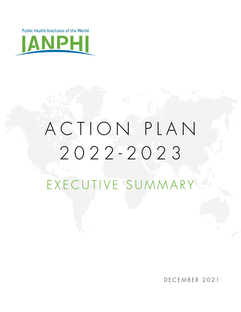**Public Health Institutes of the World** 



# A C T I O N P L A N 2022-2023 EXECUTIVE SUMMARY

DECEMBER 2021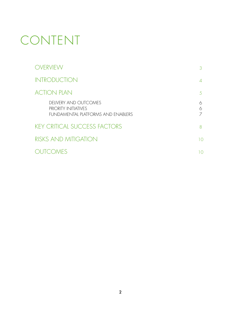# CONTENT

|                             | OVERVIEW                                                                                   | 3           |
|-----------------------------|--------------------------------------------------------------------------------------------|-------------|
| <b>INTRODUCTION</b>         |                                                                                            | $\Delta$    |
| <b>ACTION PLAN</b>          |                                                                                            | .5          |
|                             | DELIVERY AND OUTCOMES<br><b>PRIORITY INITIATIVES</b><br>FUNDAMENTAL PLATFORMS AND ENABLERS | 6<br>6<br>7 |
|                             | <b>KEY CRITICAL SUCCESS FACTORS</b>                                                        | 8           |
| <b>RISKS AND MITIGATION</b> |                                                                                            | 10          |
|                             | OUTCOMES                                                                                   | 10          |
|                             |                                                                                            |             |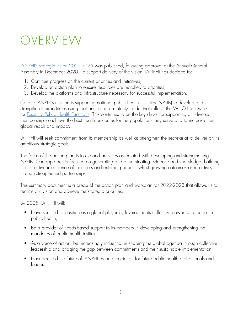# OVERVIEW

[IANPHI's strategic vision 2021-2025](https://ianphi.org/_includes/documents/sections/tools-resources/ianphi-strategy-2021-2025.pdf) was published, following approval at the Annual General Assembly in December 2020. To support delivery of the vision, IANPHI has decided to:

- 1. Continue progress on the current priorities and initiatives;
- 2. Develop an action plan to ensure resources are matched to priorities;
- 3. Develop the platforms and infrastructure necessary for successful implementation.

Core to IANPHI's mission is supporting national public health institutes (NPHIs) to develop and strengthen their institutes using tools including a maturity model that reflects the WHO framework for **Essential Public Health Functions**. This continues to be the key driver for supporting our diverse membership to achieve the best health outcomes for the populations they serve and to increase their global reach and impact.

IANPHI will seek commitment from its membership as well as strengthen the secretariat to deliver on its ambitious strategic goals.

The focus of the action plan is to expand activities associated with developing and strengthening NPHIs. Our approach is focused on generating and disseminating evidence and knowledge, building the collective intelligence of members and external partners, whilst growing outcome-based activity through strengthened partnerships.

This summary document is a précis of the action plan and workplan for 2022-2023 that allows us to realize our vision and achieve the strategic priorities.

By 2025, IANPHI will:

- Have secured its position as a global player by leveraging its collective power as a leader in public health;
- Be a provider of needs-based support to its members in developing and strengthening the mandates of public health institutes;
- As a voice of action, be increasingly influential in shaping the global agenda through collective leadership and bridging the gap between commitments and their sustainable implementation;
- Have secured the future of IANPHI as an association for future public health professionals and leaders.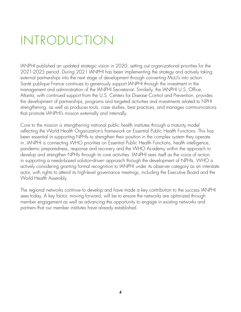# INTRODUCTION

IANPHI published an updated strategic vision in 2020, setting out organizational priorities for the 2021-2025 period. During 2021 IANPHI has been implementing the strategy and actively taking external partnerships into the next stage of development through converting MoU's into action. Santé publique France continues to generously support IANPHI through the investment in the management and administration of the IANPHI Secretariat. Similarly, the IANPHI U.S. Office, Atlanta, with continued support from the U.S. Centers for Disease Control and Prevention, provides the development of partnerships, programs and targeted activities and investments related to NPHI strengthening, as well as produces tools, case studies, best practices, and manages communications that promote IANPHI's mission externally and internally.

Core to the mission is strengthening national public health institutes through a maturity model reflecting the World Health Organization's framework on Essential Public Health Functions. This has been essential in supporting NPHIs to strengthen their position in the complex system they operate in. IANPHI is connecting WHO priorities on Essential Public Health Functions, health intelligence, pandemic preparedness, response and recovery and the WHO Academy within the approach to develop and strengthen NPHIs through its core activities. IANPHI sees itself as the voice of action in supporting a needs-based solution-driven approach through the development of NPHIs. WHO is actively considering granting formal recognition to IANPHI under its observer category as an interstate actor, with rights to attend its high-level governance meetings, including the Executive Board and the World Health Assembly.

The regional networks continue to develop and have made a key contribution to the success IANPHI sees today. A key factor, moving forward, will be to ensure the networks are optimized through member engagement as well as advancing the opportunity to engage in existing networks and partners that our member institutes have already established.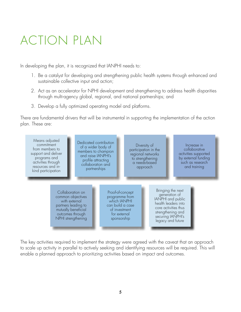# ACTION PLAN

In developing the plan, it is recognized that IANPHI needs to:

- 1. Be a catalyst for developing and strengthening public health systems through enhanced and sustainable collective input and action;
- 2. Act as an accelerator for NPHI development and strengthening to address health disparities through multi-agency global, regional, and national partnerships; and
- 3. Develop a fully optimized operating model and platforms.

There are fundamental drivers that will be instrumental in supporting the implementation of the action plan. These are:



The key activities required to implement the strategy were agreed with the caveat that an approach to scale up activity in parallel to actively seeking and identifying resources will be required. This will enable a planned approach to prioritizing activities based on impact and outcomes.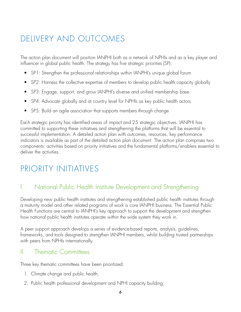# DELIVERY AND OUTCOMES

The action plan document will position IANPHI both as a network of NPHIs and as a key player and influencer in global public health. The strategy has five strategic priorities (SP):

- SP1: Strengthen the professional relationships within IANPHI's unique global forum
- SP2: Harness the collective expertise of members to develop public health capacity globally
- SP3: Engage, support, and grow IANPHI's diverse and unified membership base
- SP4: Advocate globally and at country level for NPHIs as key public health actors
- SP5: Build an agile association that supports members through change

Each strategic priority has identified areas of impact and 25 strategic objectives. IANPHI has committed to supporting these initiatives and strengthening the platforms that will be essential to successful implementation. A detailed action plan with outcomes, resources, key performance indicators is available as part of the detailed action plan document. The action plan comprises two components: activities based on priority initiatives and the fundamental platforms/enablers essential to deliver the activities.

## PRIORITY INITIATIVES

### I. National Public Health Institute Development and Strengthening

Developing new public health institutes and strengthening established public health institutes through a maturity model and other related programs of work is core IANPHI business. The Essential Public Health Functions are central to IANPHI's key approach to support the development and strengthen how national public health institutes operate within the wide system they work in.

A peer support approach develops a series of evidence-based reports, analysis, guidelines, frameworks, and tools designed to strengthen IANPHI members, whilst building trusted partnerships with peers from NPHIs internationally.

#### II. Thematic Committees

Three key thematic committees have been prioritized:

- 1. Climate change and public health;
- 2. Public health professional development and NPHI capacity building;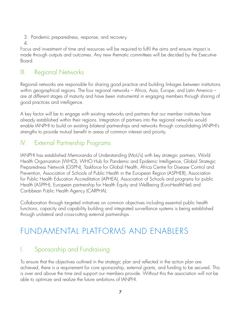- 3. Pandemic preparedness, response, and recovery.
- 4.

Focus and investment of time and resources will be required to fulfil the aims and ensure impact is made through outputs and outcomes. Any new thematic committees will be decided by the Executive Board.

### III. Regional Networks

Regional networks are responsible for sharing good practice and building linkages between institutions within geographical regions. The four regional networks – Africa, Asia, Europe, and Latin America – are at different stages of maturity and have been instrumental in engaging members through sharing of good practices and intelligence.

A key factor will be to engage with existing networks and partners that our member institutes have already established within their regions. Integration of partners into the regional networks would enable IANPHI to build on existing bilateral partnerships and networks through consolidating IANPHI's strengths to provide mutual benefit in areas of common interest and priority.

### IV. External Partnership Programs

IANPHI has established Memoranda of Understanding (MoU's) with key strategic partners; World Health Organization (WHO), WHO Hub for Pandemic and Epidemic Intelligence, Global Strategic Preparedness Network (GSPN), Taskforce for Global Health, Africa Centre for Disease Control and Prevention, Association of Schools of Public Health in the European Region (ASPHER), Association for Public Health Education Accreditation (APHEA), Association of Schools and programs for public Health (ASPPH), European partnership for Health Equity and Wellbeing (EuroHealthNet) and Caribbean Public Health Agency (CARPHA).

Collaboration through targeted initiatives on common objectives including essential public health functions, capacity and capability building and integrated surveillance systems is being established through unilateral and cross-cutting external partnerships.

# FUNDAMENTAL PLATFORMS AND ENABLERS

### I. Sponsorship and Fundraising

To ensure that the objectives outlined in the strategic plan and reflected in the action plan are achieved, there is a requirement for core sponsorship, external grants, and funding to be secured. This is over and above the time and support our members provide. Without this the association will not be able to optimize and realize the future ambitions of IANPHI.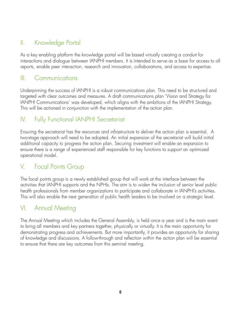### II. Knowledge Portal

As a key enabling platform the knowledge portal will be based virtually creating a conduit for interactions and dialogue between IANPHI members. It is intended to serve as a base for access to all reports, enable peer interaction, research and innovation, collaborations, and access to expertise.

#### III. Communications

Underpinning the success of IANPHI is a robust communications plan. This need to be structured and targeted with clear outcomes and measures. A draft communications plan 'Vision and Strategy for IANPHI Communications' was developed, which aligns with the ambitions of the IANPHI Strategy. This will be actioned in conjunction with the implementation of the action plan.

### IV. Fully Functional IANPHI Secretariat

Ensuring the secretariat has the resources and infrastructure to deliver the action plan is essential. A two-stage approach will need to be adopted. An initial expansion of the secretariat will build initial additional capacity to progress the action plan. Securing investment will enable an expansion to ensure there is a range of experienced staff responsible for key functions to support an optimized operational model.

### V. Focal Points Group

The focal points group is a newly established group that will work at the interface between the activities that IANPHI supports and the NPHIs. The aim is to widen the inclusion of senior level public health professionals from member organizations to participate and collaborate in IANPHI's activities. This will also enable the next generation of public health leaders to be involved on a strategic level.

#### VI. Annual Meeting

The Annual Meeting which includes the General Assembly, is held once a year and is the main event to bring all members and key partners together, physically or virtually. It is the main opportunity for demonstrating progress and achievements. But more importantly, it provides an opportunity for sharing of knowledge and discussions. A follow-through and reflection within the action plan will be essential to ensure that there are key outcomes from this seminal meeting.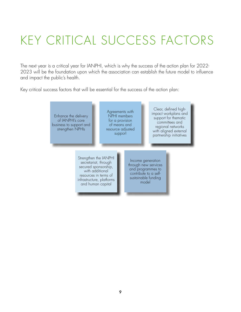# KEY CRITICAL SUCCESS FACTORS

The next year is a critical year for IANPHI, which is why the success of the action plan for 2022- 2023 will be the foundation upon which the association can establish the future model to influence and impact the public's health.

Key critical success factors that will be essential for the success of the action plan:

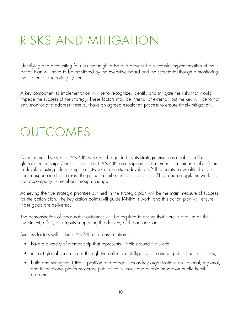# RISKS AND MITIGATION

Identifying and accounting for risks that might arise and prevent the successful implementation of the Action Plan will need to be monitored by the Executive Board and the secretariat though a monitoring, evaluation and reporting system.

A key component to implementation will be to recognize, identify and mitigate the risks that would impede the success of the strategy. These factors may be internal or external, but the key will be to not only monitor and address these but have an agreed escalation process to ensure timely mitigation.

# OUTCOMES

Over the next five years, IANPHI's work will be guided by its strategic vision as established by its global membership. Our priorities reflect IANPHI's core support to its members; a unique global forum to develop lasting relationships; a network of experts to develop NPHI capacity; a wealth of public health experience from across the globe; a unified voice promoting NPHIs; and an agile network that can accompany its members through change.

Achieving the five strategic priorities outlined in the strategic plan will be the main measure of success for the action plan. The key action points will guide IANPHI's work, and this action plan will ensure those goals are delivered.

The demonstration of measurable outcomes will be required to ensure that there is a return on the investment, effort, and inputs supporting the delivery of the action plan.

Success factors will include IANPHI, as an association to:

- have a diversity of membership that represents NPHIs around the world;
- impact global health issues through the collective intelligence of national public health institutes;
- build and strengthen NPHIs' position and capabilities as key organizations on national, regional, and international platforms across public health issues and enable impact on public health outcomes;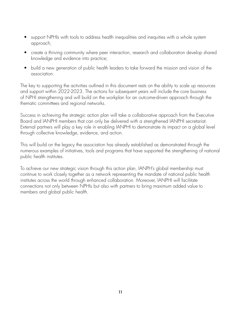- support NPHIs with tools to address health inequalities and inequities with a whole system approach;
- create a thriving community where peer interaction, research and collaboration develop shared knowledge and evidence into practice;
- build a new generation of public health leaders to take forward the mission and vision of the association.

The key to supporting the activities outlined in this document rests on the ability to scale up resources and support within 2022-2023. The actions for subsequent years will include the core business of NPHI strengthening and will build on the workplan for an outcome-driven approach through the thematic committees and regional networks.

Success in achieving the strategic action plan will take a collaborative approach from the Executive Board and IANPHI members that can only be delivered with a strengthened IANPHI secretariat. External partners will play a key role in enabling IANPHI to demonstrate its impact on a global level through collective knowledge, evidence, and action.

This will build on the legacy the association has already established as demonstrated through the numerous examples of initiatives, tools and programs that have supported the strengthening of national public health institutes.

To achieve our new strategic vision through this action plan, IANPH's global membership must continue to work closely together as a network representing the mandate of national public health institutes across the world through enhanced collaboration. Moreover, IANPHI will facilitate connections not only between NPHIs but also with partners to bring maximum added value to members and global public health.